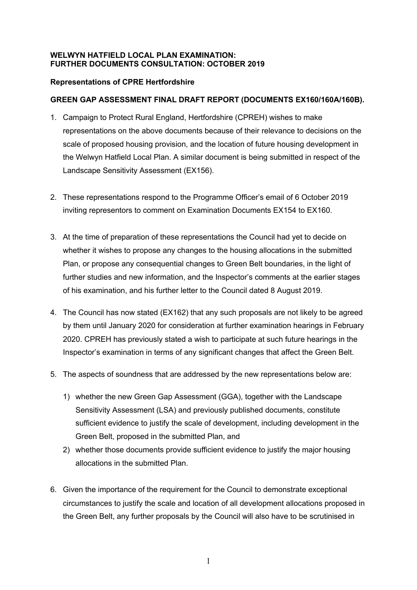## **WELWYN HATFIELD LOCAL PLAN EXAMINATION: FURTHER DOCUMENTS CONSULTATION: OCTOBER 2019**

# **Representations of CPRE Hertfordshire**

## **GREEN GAP ASSESSMENT FINAL DRAFT REPORT (DOCUMENTS EX160/160A/160B).**

- 1. Campaign to Protect Rural England, Hertfordshire (CPREH) wishes to make representations on the above documents because of their relevance to decisions on the scale of proposed housing provision, and the location of future housing development in the Welwyn Hatfield Local Plan. A similar document is being submitted in respect of the Landscape Sensitivity Assessment (EX156).
- 2. These representations respond to the Programme Officer's email of 6 October 2019 inviting representors to comment on Examination Documents EX154 to EX160.
- 3. At the time of preparation of these representations the Council had yet to decide on whether it wishes to propose any changes to the housing allocations in the submitted Plan, or propose any consequential changes to Green Belt boundaries, in the light of further studies and new information, and the Inspector's comments at the earlier stages of his examination, and his further letter to the Council dated 8 August 2019.
- 4. The Council has now stated (EX162) that any such proposals are not likely to be agreed by them until January 2020 for consideration at further examination hearings in February 2020. CPREH has previously stated a wish to participate at such future hearings in the Inspector's examination in terms of any significant changes that affect the Green Belt.
- 5. The aspects of soundness that are addressed by the new representations below are:
	- 1) whether the new Green Gap Assessment (GGA), together with the Landscape Sensitivity Assessment (LSA) and previously published documents, constitute sufficient evidence to justify the scale of development, including development in the Green Belt, proposed in the submitted Plan, and
	- 2) whether those documents provide sufficient evidence to justify the major housing allocations in the submitted Plan.
- 6. Given the importance of the requirement for the Council to demonstrate exceptional circumstances to justify the scale and location of all development allocations proposed in the Green Belt, any further proposals by the Council will also have to be scrutinised in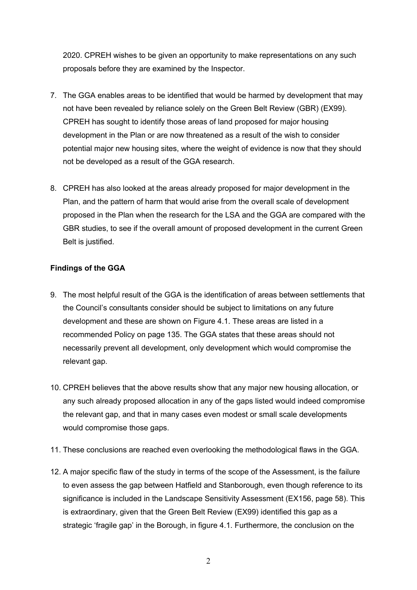2020. CPREH wishes to be given an opportunity to make representations on any such proposals before they are examined by the Inspector.

- 7. The GGA enables areas to be identified that would be harmed by development that may not have been revealed by reliance solely on the Green Belt Review (GBR) (EX99). CPREH has sought to identify those areas of land proposed for major housing development in the Plan or are now threatened as a result of the wish to consider potential major new housing sites, where the weight of evidence is now that they should not be developed as a result of the GGA research.
- 8. CPREH has also looked at the areas already proposed for major development in the Plan, and the pattern of harm that would arise from the overall scale of development proposed in the Plan when the research for the LSA and the GGA are compared with the GBR studies, to see if the overall amount of proposed development in the current Green Belt is justified.

## **Findings of the GGA**

- 9. The most helpful result of the GGA is the identification of areas between settlements that the Council's consultants consider should be subject to limitations on any future development and these are shown on Figure 4.1. These areas are listed in a recommended Policy on page 135. The GGA states that these areas should not necessarily prevent all development, only development which would compromise the relevant gap.
- 10. CPREH believes that the above results show that any major new housing allocation, or any such already proposed allocation in any of the gaps listed would indeed compromise the relevant gap, and that in many cases even modest or small scale developments would compromise those gaps.
- 11. These conclusions are reached even overlooking the methodological flaws in the GGA.
- 12. A major specific flaw of the study in terms of the scope of the Assessment, is the failure to even assess the gap between Hatfield and Stanborough, even though reference to its significance is included in the Landscape Sensitivity Assessment (EX156, page 58). This is extraordinary, given that the Green Belt Review (EX99) identified this gap as a strategic 'fragile gap' in the Borough, in figure 4.1. Furthermore, the conclusion on the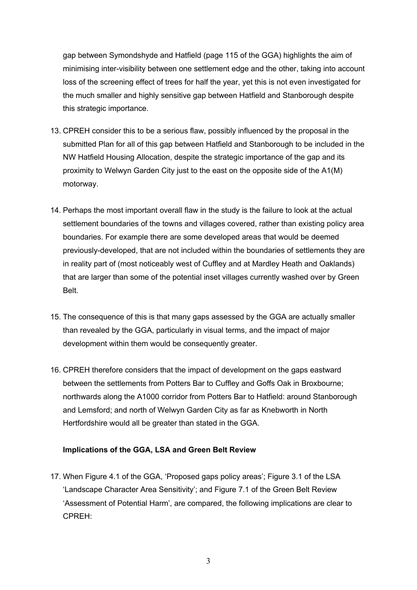gap between Symondshyde and Hatfield (page 115 of the GGA) highlights the aim of minimising inter-visibility between one settlement edge and the other, taking into account loss of the screening effect of trees for half the year, yet this is not even investigated for the much smaller and highly sensitive gap between Hatfield and Stanborough despite this strategic importance.

- 13. CPREH consider this to be a serious flaw, possibly influenced by the proposal in the submitted Plan for all of this gap between Hatfield and Stanborough to be included in the NW Hatfield Housing Allocation, despite the strategic importance of the gap and its proximity to Welwyn Garden City just to the east on the opposite side of the A1(M) motorway.
- 14. Perhaps the most important overall flaw in the study is the failure to look at the actual settlement boundaries of the towns and villages covered, rather than existing policy area boundaries. For example there are some developed areas that would be deemed previously-developed, that are not included within the boundaries of settlements they are in reality part of (most noticeably west of Cuffley and at Mardley Heath and Oaklands) that are larger than some of the potential inset villages currently washed over by Green Belt.
- 15. The consequence of this is that many gaps assessed by the GGA are actually smaller than revealed by the GGA, particularly in visual terms, and the impact of major development within them would be consequently greater.
- 16. CPREH therefore considers that the impact of development on the gaps eastward between the settlements from Potters Bar to Cuffley and Goffs Oak in Broxbourne; northwards along the A1000 corridor from Potters Bar to Hatfield: around Stanborough and Lemsford; and north of Welwyn Garden City as far as Knebworth in North Hertfordshire would all be greater than stated in the GGA.

#### **Implications of the GGA, LSA and Green Belt Review**

17. When Figure 4.1 of the GGA, 'Proposed gaps policy areas'; Figure 3.1 of the LSA 'Landscape Character Area Sensitivity'; and Figure 7.1 of the Green Belt Review 'Assessment of Potential Harm', are compared, the following implications are clear to CPREH: